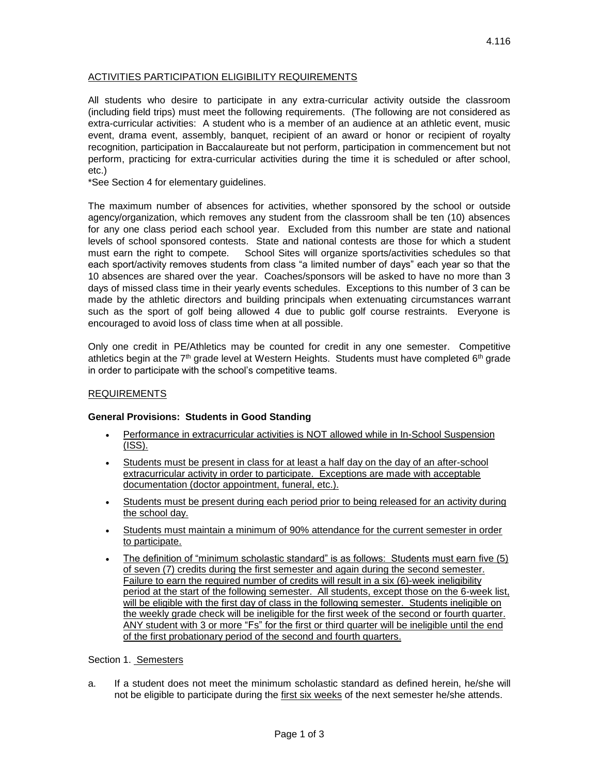# ACTIVITIES PARTICIPATION ELIGIBILITY REQUIREMENTS

All students who desire to participate in any extra-curricular activity outside the classroom (including field trips) must meet the following requirements. (The following are not considered as extra-curricular activities: A student who is a member of an audience at an athletic event, music event, drama event, assembly, banquet, recipient of an award or honor or recipient of royalty recognition, participation in Baccalaureate but not perform, participation in commencement but not perform, practicing for extra-curricular activities during the time it is scheduled or after school, etc.)

\*See Section 4 for elementary guidelines.

The maximum number of absences for activities, whether sponsored by the school or outside agency/organization, which removes any student from the classroom shall be ten (10) absences for any one class period each school year. Excluded from this number are state and national levels of school sponsored contests. State and national contests are those for which a student must earn the right to compete. School Sites will organize sports/activities schedules so that each sport/activity removes students from class "a limited number of days" each year so that the 10 absences are shared over the year. Coaches/sponsors will be asked to have no more than 3 days of missed class time in their yearly events schedules. Exceptions to this number of 3 can be made by the athletic directors and building principals when extenuating circumstances warrant such as the sport of golf being allowed 4 due to public golf course restraints. Everyone is encouraged to avoid loss of class time when at all possible.

Only one credit in PE/Athletics may be counted for credit in any one semester. Competitive athletics begin at the  $7<sup>th</sup>$  grade level at Western Heights. Students must have completed  $6<sup>th</sup>$  grade in order to participate with the school's competitive teams.

#### REQUIREMENTS

#### **General Provisions: Students in Good Standing**

- Performance in extracurricular activities is NOT allowed while in In-School Suspension (ISS).
- Students must be present in class for at least a half day on the day of an after-school extracurricular activity in order to participate. Exceptions are made with acceptable documentation (doctor appointment, funeral, etc.).
- Students must be present during each period prior to being released for an activity during the school day.
- Students must maintain a minimum of 90% attendance for the current semester in order to participate.
- The definition of "minimum scholastic standard" is as follows: Students must earn five (5) of seven (7) credits during the first semester and again during the second semester. Failure to earn the required number of credits will result in a six (6)-week ineligibility period at the start of the following semester. All students, except those on the 6-week list, will be eligible with the first day of class in the following semester. Students ineligible on the weekly grade check will be ineligible for the first week of the second or fourth quarter. ANY student with 3 or more "Fs" for the first or third quarter will be ineligible until the end of the first probationary period of the second and fourth quarters.

#### Section 1. Semesters

a. If a student does not meet the minimum scholastic standard as defined herein, he/she will not be eligible to participate during the first six weeks of the next semester he/she attends.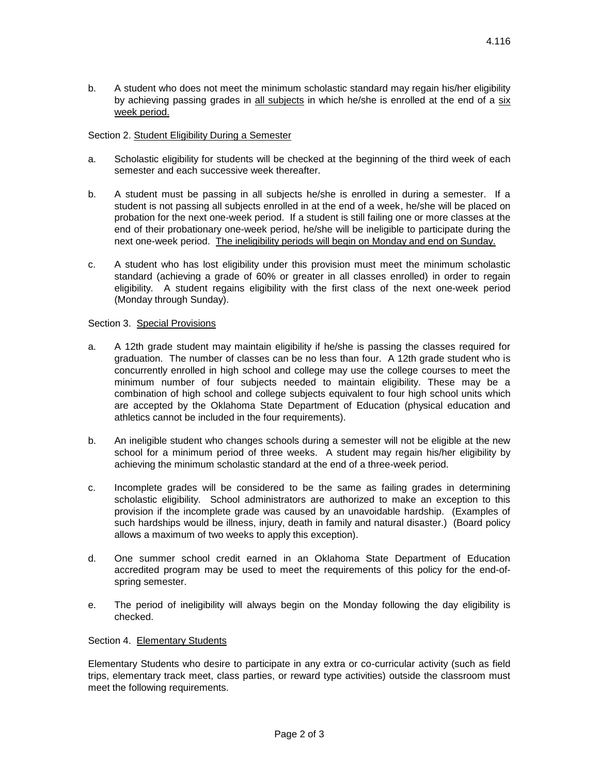b. A student who does not meet the minimum scholastic standard may regain his/her eligibility by achieving passing grades in all subjects in which he/she is enrolled at the end of a six week period.

# Section 2. Student Eligibility During a Semester

- a. Scholastic eligibility for students will be checked at the beginning of the third week of each semester and each successive week thereafter.
- b. A student must be passing in all subjects he/she is enrolled in during a semester. If a student is not passing all subjects enrolled in at the end of a week, he/she will be placed on probation for the next one-week period. If a student is still failing one or more classes at the end of their probationary one-week period, he/she will be ineligible to participate during the next one-week period. The ineligibility periods will begin on Monday and end on Sunday.
- c. A student who has lost eligibility under this provision must meet the minimum scholastic standard (achieving a grade of 60% or greater in all classes enrolled) in order to regain eligibility. A student regains eligibility with the first class of the next one-week period (Monday through Sunday).

# Section 3. Special Provisions

- a. A 12th grade student may maintain eligibility if he/she is passing the classes required for graduation. The number of classes can be no less than four. A 12th grade student who is concurrently enrolled in high school and college may use the college courses to meet the minimum number of four subjects needed to maintain eligibility. These may be a combination of high school and college subjects equivalent to four high school units which are accepted by the Oklahoma State Department of Education (physical education and athletics cannot be included in the four requirements).
- b. An ineligible student who changes schools during a semester will not be eligible at the new school for a minimum period of three weeks. A student may regain his/her eligibility by achieving the minimum scholastic standard at the end of a three-week period.
- c. Incomplete grades will be considered to be the same as failing grades in determining scholastic eligibility. School administrators are authorized to make an exception to this provision if the incomplete grade was caused by an unavoidable hardship. (Examples of such hardships would be illness, injury, death in family and natural disaster.) (Board policy allows a maximum of two weeks to apply this exception).
- d. One summer school credit earned in an Oklahoma State Department of Education accredited program may be used to meet the requirements of this policy for the end-ofspring semester.
- e. The period of ineligibility will always begin on the Monday following the day eligibility is checked.

#### Section 4. Elementary Students

Elementary Students who desire to participate in any extra or co-curricular activity (such as field trips, elementary track meet, class parties, or reward type activities) outside the classroom must meet the following requirements.